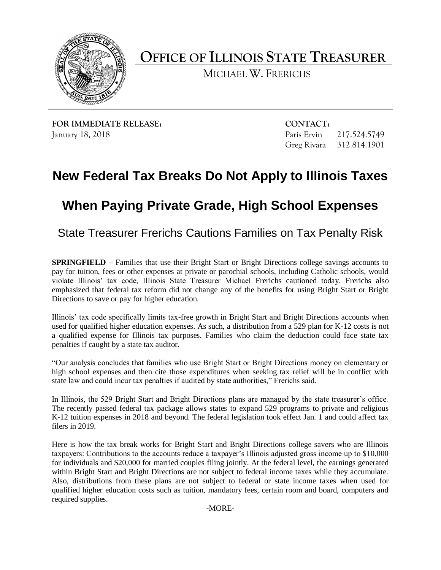

**OFFICE OF ILLINOIS STATE TREASURER** 

MICHAEL W. FRERICHS

**FOR IMMEDIATE RELEASE:** CONTACT: January 18, 2018 Paris Ervin 217.524.5749

Greg Rivara 312.814.1901

## **New Federal Tax Breaks Do Not Apply to Illinois Taxes When Paying Private Grade, High School Expenses**

State Treasurer Frerichs Cautions Families on Tax Penalty Risk

 **SPRINGFIELD** – Families that use their Bright Start or Bright Directions college savings accounts to pay for tuition, fees or other expenses at private or parochial schools, including Catholic schools, would violate Illinois' tax code, Illinois State Treasurer Michael Frerichs cautioned today. Frerichs also emphasized that federal tax reform did not change any of the benefits for using Bright Start or Bright Directions to save or pay for higher education.

 Illinois' tax code specifically limits tax-free growth in Bright Start and Bright Directions accounts when used for qualified higher education expenses. As such, a distribution from a 529 plan for K-12 costs is not a qualified expense for Illinois tax purposes. Families who claim the deduction could face state tax penalties if caught by a state tax auditor.

 "Our analysis concludes that families who use Bright Start or Bright Directions money on elementary or high school expenses and then cite those expenditures when seeking tax relief will be in conflict with state law and could incur tax penalties if audited by state authorities," Frerichs said.

 In Illinois, the 529 Bright Start and Bright Directions plans are managed by the state treasurer's office. The recently passed federal tax package allows states to expand 529 programs to private and religious K-12 tuition expenses in 2018 and beyond. The federal legislation took effect Jan. 1 and could affect tax filers in 2019.

 Here is how the tax break works for Bright Start and Bright Directions college savers who are Illinois taxpayers: Contributions to the accounts reduce a taxpayer's Illinois adjusted gross income up to \$10,000 for individuals and \$20,000 for married couples filing jointly. At the federal level, the earnings generated within Bright Start and Bright Directions are not subject to federal income taxes while they accumulate. Also, distributions from these plans are not subject to federal or state income taxes when used for qualified higher education costs such as tuition, mandatory fees, certain room and board, computers and required supplies.

-MORE-